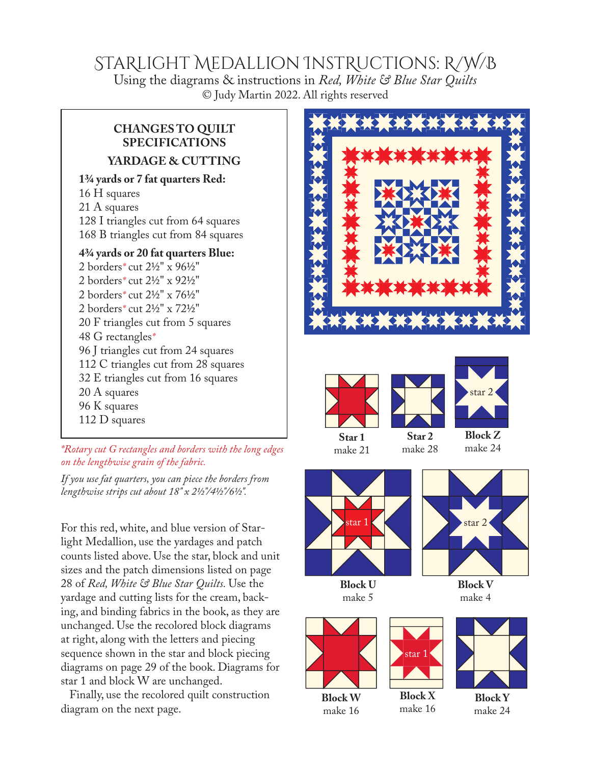## STaRlight Medallion InstRuctions: R/W/B

Using the diagrams & instructions in *Red, White & Blue Star Quilts* © Judy Martin 2022. All rights reserved

### **CHANGES TO QUILT SPECIFICATIONS YARDAGE & CUTTING**

#### **1¾ yards or 7 fat quarters Red:**

16 H squares 21 A squares 128 I triangles cut from 64 squares 168 B triangles cut from 84 squares

#### **4¾ yards or 20 fat quarters Blue:**

2 borders*\** cut 2½" x 96½" 2 borders*\** cut 2½" x 92½" 2 borders*\** cut 2½" x 76½" 2 borders*\** cut 2½" x 72½" 20 F triangles cut from 5 squares 48 G rectangles*\** 96 J triangles cut from 24 squares 112 C triangles cut from 28 squares 32 E triangles cut from 16 squares 20 A squares 96 K squares 112 D squares

*\*Rotary cut G rectangles and borders with the long edges on the lengthwise grain of the fabric.* 

*If you use fat quarters, you can piece the borders from lengthwise strips cut about 18" x 2½"/4½"/6½".*

For this red, white, and blue version of Starlight Medallion, use the yardages and patch counts listed above. Use the star, block and unit sizes and the patch dimensions listed on page 28 of *Red, White & Blue Star Quilts.* Use the yardage and cutting lists for the cream, backing, and binding fabrics in the book, as they are unchanged. Use the recolored block diagrams at right, along with the letters and piecing sequence shown in the star and block piecing diagrams on page 29 of the book. Diagrams for star 1 and block W are unchanged.

Finally, use the recolored quilt construction diagram on the next page.